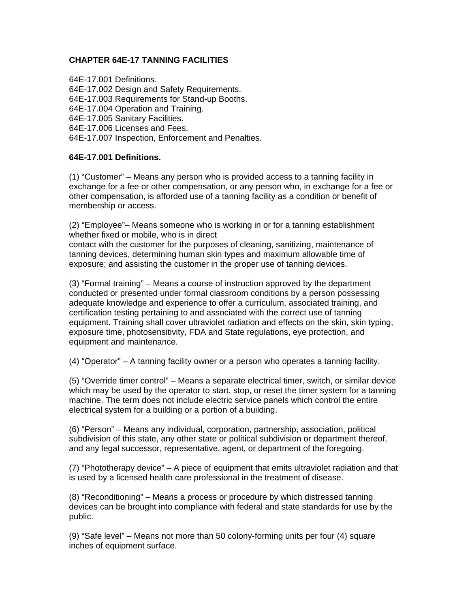# **CHAPTER 64E-17 TANNING FACILITIES**

64E-17.001 Definitions. 64E-17.002 Design and Safety Requirements. 64E-17.003 Requirements for Stand-up Booths. 64E-17.004 Operation and Training. 64E-17.005 Sanitary Facilities. 64E-17.006 Licenses and Fees. 64E-17.007 Inspection, Enforcement and Penalties.

#### **64E-17.001 Definitions.**

(1) "Customer" – Means any person who is provided access to a tanning facility in exchange for a fee or other compensation, or any person who, in exchange for a fee or other compensation, is afforded use of a tanning facility as a condition or benefit of membership or access.

(2) "Employee"– Means someone who is working in or for a tanning establishment whether fixed or mobile, who is in direct

contact with the customer for the purposes of cleaning, sanitizing, maintenance of tanning devices, determining human skin types and maximum allowable time of exposure; and assisting the customer in the proper use of tanning devices.

(3) "Formal training" – Means a course of instruction approved by the department conducted or presented under formal classroom conditions by a person possessing adequate knowledge and experience to offer a curriculum, associated training, and certification testing pertaining to and associated with the correct use of tanning equipment. Training shall cover ultraviolet radiation and effects on the skin, skin typing, exposure time, photosensitivity, FDA and State regulations, eye protection, and equipment and maintenance.

(4) "Operator" – A tanning facility owner or a person who operates a tanning facility.

(5) "Override timer control" – Means a separate electrical timer, switch, or similar device which may be used by the operator to start, stop, or reset the timer system for a tanning machine. The term does not include electric service panels which control the entire electrical system for a building or a portion of a building.

(6) "Person" – Means any individual, corporation, partnership, association, political subdivision of this state, any other state or political subdivision or department thereof, and any legal successor, representative, agent, or department of the foregoing.

(7) "Phototherapy device" – A piece of equipment that emits ultraviolet radiation and that is used by a licensed health care professional in the treatment of disease.

(8) "Reconditioning" – Means a process or procedure by which distressed tanning devices can be brought into compliance with federal and state standards for use by the public.

(9) "Safe level" – Means not more than 50 colony-forming units per four (4) square inches of equipment surface.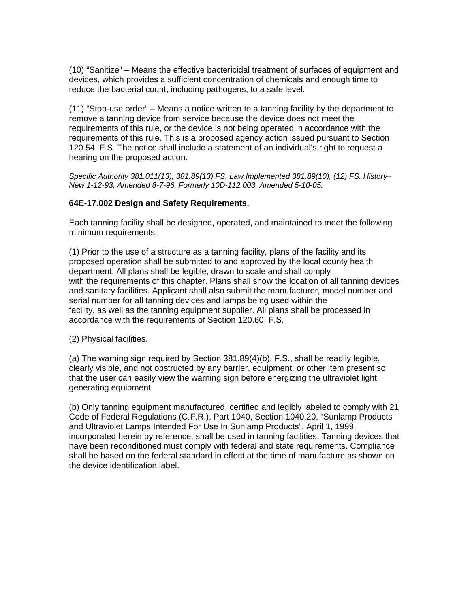(10) "Sanitize" – Means the effective bactericidal treatment of surfaces of equipment and devices, which provides a sufficient concentration of chemicals and enough time to reduce the bacterial count, including pathogens, to a safe level.

(11) "Stop-use order" – Means a notice written to a tanning facility by the department to remove a tanning device from service because the device does not meet the requirements of this rule, or the device is not being operated in accordance with the requirements of this rule. This is a proposed agency action issued pursuant to Section 120.54, F.S. The notice shall include a statement of an individual's right to request a hearing on the proposed action.

*Specific Authority 381.011(13), 381.89(13) FS. Law Implemented 381.89(10), (12) FS. History– New 1-12-93, Amended 8-7-96, Formerly 10D-112.003, Amended 5-10-05.* 

#### **64E-17.002 Design and Safety Requirements.**

Each tanning facility shall be designed, operated, and maintained to meet the following minimum requirements:

(1) Prior to the use of a structure as a tanning facility, plans of the facility and its proposed operation shall be submitted to and approved by the local county health department. All plans shall be legible, drawn to scale and shall comply with the requirements of this chapter. Plans shall show the location of all tanning devices and sanitary facilities. Applicant shall also submit the manufacturer, model number and serial number for all tanning devices and lamps being used within the facility, as well as the tanning equipment supplier. All plans shall be processed in accordance with the requirements of Section 120.60, F.S.

(2) Physical facilities.

(a) The warning sign required by Section 381.89(4)(b), F.S., shall be readily legible, clearly visible, and not obstructed by any barrier, equipment, or other item present so that the user can easily view the warning sign before energizing the ultraviolet light generating equipment.

(b) Only tanning equipment manufactured, certified and legibly labeled to comply with 21 Code of Federal Regulations (C.F.R.), Part 1040, Section 1040.20, "Sunlamp Products and Ultraviolet Lamps Intended For Use In Sunlamp Products", April 1, 1999, incorporated herein by reference, shall be used in tanning facilities. Tanning devices that have been reconditioned must comply with federal and state requirements. Compliance shall be based on the federal standard in effect at the time of manufacture as shown on the device identification label.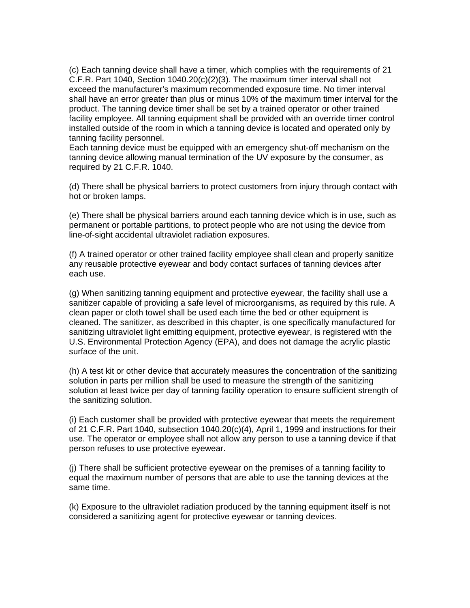(c) Each tanning device shall have a timer, which complies with the requirements of 21 C.F.R. Part 1040, Section 1040.20 $(c)(2)(3)$ . The maximum timer interval shall not exceed the manufacturer's maximum recommended exposure time. No timer interval shall have an error greater than plus or minus 10% of the maximum timer interval for the product. The tanning device timer shall be set by a trained operator or other trained facility employee. All tanning equipment shall be provided with an override timer control installed outside of the room in which a tanning device is located and operated only by tanning facility personnel.

Each tanning device must be equipped with an emergency shut-off mechanism on the tanning device allowing manual termination of the UV exposure by the consumer, as required by 21 C.F.R. 1040.

(d) There shall be physical barriers to protect customers from injury through contact with hot or broken lamps.

(e) There shall be physical barriers around each tanning device which is in use, such as permanent or portable partitions, to protect people who are not using the device from line-of-sight accidental ultraviolet radiation exposures.

(f) A trained operator or other trained facility employee shall clean and properly sanitize any reusable protective eyewear and body contact surfaces of tanning devices after each use.

(g) When sanitizing tanning equipment and protective eyewear, the facility shall use a sanitizer capable of providing a safe level of microorganisms, as required by this rule. A clean paper or cloth towel shall be used each time the bed or other equipment is cleaned. The sanitizer, as described in this chapter, is one specifically manufactured for sanitizing ultraviolet light emitting equipment, protective eyewear, is registered with the U.S. Environmental Protection Agency (EPA), and does not damage the acrylic plastic surface of the unit.

(h) A test kit or other device that accurately measures the concentration of the sanitizing solution in parts per million shall be used to measure the strength of the sanitizing solution at least twice per day of tanning facility operation to ensure sufficient strength of the sanitizing solution.

(i) Each customer shall be provided with protective eyewear that meets the requirement of 21 C.F.R. Part 1040, subsection 1040.20(c)(4), April 1, 1999 and instructions for their use. The operator or employee shall not allow any person to use a tanning device if that person refuses to use protective eyewear.

(j) There shall be sufficient protective eyewear on the premises of a tanning facility to equal the maximum number of persons that are able to use the tanning devices at the same time.

(k) Exposure to the ultraviolet radiation produced by the tanning equipment itself is not considered a sanitizing agent for protective eyewear or tanning devices.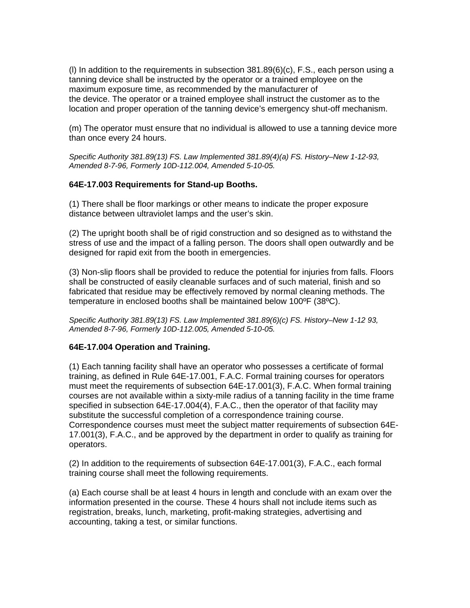(l) In addition to the requirements in subsection 381.89(6)(c), F.S., each person using a tanning device shall be instructed by the operator or a trained employee on the maximum exposure time, as recommended by the manufacturer of the device. The operator or a trained employee shall instruct the customer as to the location and proper operation of the tanning device's emergency shut-off mechanism.

(m) The operator must ensure that no individual is allowed to use a tanning device more than once every 24 hours.

*Specific Authority 381.89(13) FS. Law Implemented 381.89(4)(a) FS. History–New 1-12-93, Amended 8-7-96, Formerly 10D-112.004, Amended 5-10-05.* 

#### **64E-17.003 Requirements for Stand-up Booths.**

(1) There shall be floor markings or other means to indicate the proper exposure distance between ultraviolet lamps and the user's skin.

(2) The upright booth shall be of rigid construction and so designed as to withstand the stress of use and the impact of a falling person. The doors shall open outwardly and be designed for rapid exit from the booth in emergencies.

(3) Non-slip floors shall be provided to reduce the potential for injuries from falls. Floors shall be constructed of easily cleanable surfaces and of such material, finish and so fabricated that residue may be effectively removed by normal cleaning methods. The temperature in enclosed booths shall be maintained below 100ºF (38ºC).

*Specific Authority 381.89(13) FS. Law Implemented 381.89(6)(c) FS. History–New 1-12 93, Amended 8-7-96, Formerly 10D-112.005, Amended 5-10-05.* 

# **64E-17.004 Operation and Training.**

(1) Each tanning facility shall have an operator who possesses a certificate of formal training, as defined in Rule 64E-17.001, F.A.C. Formal training courses for operators must meet the requirements of subsection 64E-17.001(3), F.A.C. When formal training courses are not available within a sixty-mile radius of a tanning facility in the time frame specified in subsection 64E-17.004(4), F.A.C., then the operator of that facility may substitute the successful completion of a correspondence training course. Correspondence courses must meet the subject matter requirements of subsection 64E-17.001(3), F.A.C., and be approved by the department in order to qualify as training for operators.

(2) In addition to the requirements of subsection 64E-17.001(3), F.A.C., each formal training course shall meet the following requirements.

(a) Each course shall be at least 4 hours in length and conclude with an exam over the information presented in the course. These 4 hours shall not include items such as registration, breaks, lunch, marketing, profit-making strategies, advertising and accounting, taking a test, or similar functions.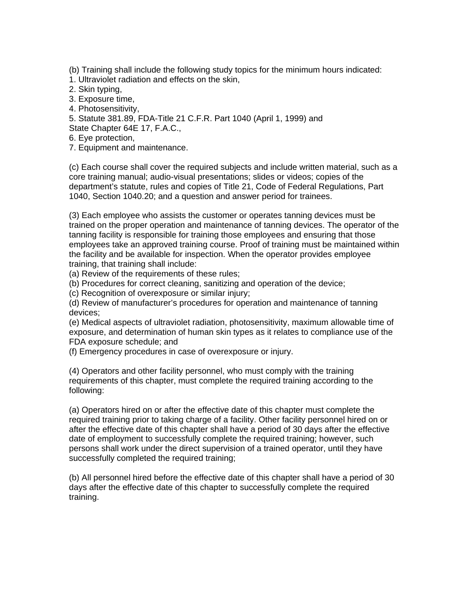(b) Training shall include the following study topics for the minimum hours indicated:

1. Ultraviolet radiation and effects on the skin,

2. Skin typing,

3. Exposure time,

4. Photosensitivity,

5. Statute 381.89, FDA-Title 21 C.F.R. Part 1040 (April 1, 1999) and

State Chapter 64E 17, F.A.C.,

6. Eye protection,

7. Equipment and maintenance.

(c) Each course shall cover the required subjects and include written material, such as a core training manual; audio-visual presentations; slides or videos; copies of the department's statute, rules and copies of Title 21, Code of Federal Regulations, Part 1040, Section 1040.20; and a question and answer period for trainees.

(3) Each employee who assists the customer or operates tanning devices must be trained on the proper operation and maintenance of tanning devices. The operator of the tanning facility is responsible for training those employees and ensuring that those employees take an approved training course. Proof of training must be maintained within the facility and be available for inspection. When the operator provides employee training, that training shall include:

(a) Review of the requirements of these rules;

(b) Procedures for correct cleaning, sanitizing and operation of the device;

(c) Recognition of overexposure or similar injury;

(d) Review of manufacturer's procedures for operation and maintenance of tanning devices;

(e) Medical aspects of ultraviolet radiation, photosensitivity, maximum allowable time of exposure, and determination of human skin types as it relates to compliance use of the FDA exposure schedule; and

(f) Emergency procedures in case of overexposure or injury.

(4) Operators and other facility personnel, who must comply with the training requirements of this chapter, must complete the required training according to the following:

(a) Operators hired on or after the effective date of this chapter must complete the required training prior to taking charge of a facility. Other facility personnel hired on or after the effective date of this chapter shall have a period of 30 days after the effective date of employment to successfully complete the required training; however, such persons shall work under the direct supervision of a trained operator, until they have successfully completed the required training;

(b) All personnel hired before the effective date of this chapter shall have a period of 30 days after the effective date of this chapter to successfully complete the required training.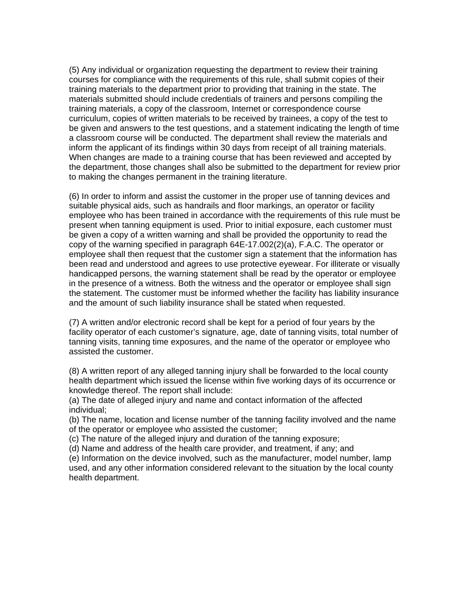(5) Any individual or organization requesting the department to review their training courses for compliance with the requirements of this rule, shall submit copies of their training materials to the department prior to providing that training in the state. The materials submitted should include credentials of trainers and persons compiling the training materials, a copy of the classroom, Internet or correspondence course curriculum, copies of written materials to be received by trainees, a copy of the test to be given and answers to the test questions, and a statement indicating the length of time a classroom course will be conducted. The department shall review the materials and inform the applicant of its findings within 30 days from receipt of all training materials. When changes are made to a training course that has been reviewed and accepted by the department, those changes shall also be submitted to the department for review prior to making the changes permanent in the training literature.

(6) In order to inform and assist the customer in the proper use of tanning devices and suitable physical aids, such as handrails and floor markings, an operator or facility employee who has been trained in accordance with the requirements of this rule must be present when tanning equipment is used. Prior to initial exposure, each customer must be given a copy of a written warning and shall be provided the opportunity to read the copy of the warning specified in paragraph 64E-17.002(2)(a), F.A.C. The operator or employee shall then request that the customer sign a statement that the information has been read and understood and agrees to use protective eyewear. For illiterate or visually handicapped persons, the warning statement shall be read by the operator or employee in the presence of a witness. Both the witness and the operator or employee shall sign the statement. The customer must be informed whether the facility has liability insurance and the amount of such liability insurance shall be stated when requested.

(7) A written and/or electronic record shall be kept for a period of four years by the facility operator of each customer's signature, age, date of tanning visits, total number of tanning visits, tanning time exposures, and the name of the operator or employee who assisted the customer.

(8) A written report of any alleged tanning injury shall be forwarded to the local county health department which issued the license within five working days of its occurrence or knowledge thereof. The report shall include:

(a) The date of alleged injury and name and contact information of the affected individual;

(b) The name, location and license number of the tanning facility involved and the name of the operator or employee who assisted the customer;

(c) The nature of the alleged injury and duration of the tanning exposure;

(d) Name and address of the health care provider, and treatment, if any; and

(e) Information on the device involved, such as the manufacturer, model number, lamp used, and any other information considered relevant to the situation by the local county health department.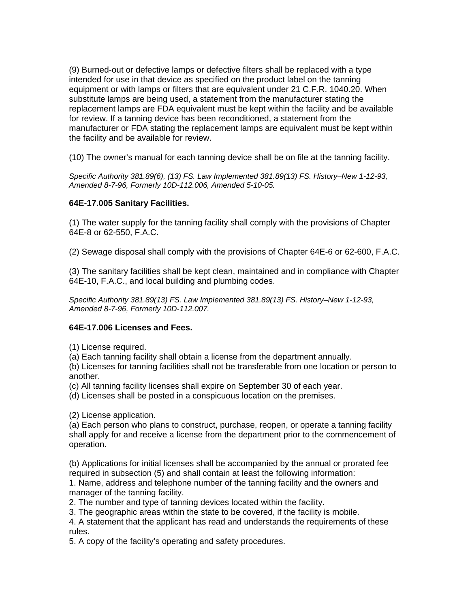(9) Burned-out or defective lamps or defective filters shall be replaced with a type intended for use in that device as specified on the product label on the tanning equipment or with lamps or filters that are equivalent under 21 C.F.R. 1040.20. When substitute lamps are being used, a statement from the manufacturer stating the replacement lamps are FDA equivalent must be kept within the facility and be available for review. If a tanning device has been reconditioned, a statement from the manufacturer or FDA stating the replacement lamps are equivalent must be kept within the facility and be available for review.

(10) The owner's manual for each tanning device shall be on file at the tanning facility.

*Specific Authority 381.89(6), (13) FS. Law Implemented 381.89(13) FS. History–New 1-12-93, Amended 8-7-96, Formerly 10D-112.006, Amended 5-10-05.* 

# **64E-17.005 Sanitary Facilities.**

(1) The water supply for the tanning facility shall comply with the provisions of Chapter 64E-8 or 62-550, F.A.C.

(2) Sewage disposal shall comply with the provisions of Chapter 64E-6 or 62-600, F.A.C.

(3) The sanitary facilities shall be kept clean, maintained and in compliance with Chapter 64E-10, F.A.C., and local building and plumbing codes.

*Specific Authority 381.89(13) FS. Law Implemented 381.89(13) FS. History–New 1-12-93, Amended 8-7-96, Formerly 10D-112.007.* 

# **64E-17.006 Licenses and Fees.**

(1) License required.

(a) Each tanning facility shall obtain a license from the department annually.

(b) Licenses for tanning facilities shall not be transferable from one location or person to another.

(c) All tanning facility licenses shall expire on September 30 of each year.

(d) Licenses shall be posted in a conspicuous location on the premises.

(2) License application.

(a) Each person who plans to construct, purchase, reopen, or operate a tanning facility shall apply for and receive a license from the department prior to the commencement of operation.

(b) Applications for initial licenses shall be accompanied by the annual or prorated fee required in subsection (5) and shall contain at least the following information:

1. Name, address and telephone number of the tanning facility and the owners and manager of the tanning facility.

2. The number and type of tanning devices located within the facility.

3. The geographic areas within the state to be covered, if the facility is mobile.

4. A statement that the applicant has read and understands the requirements of these rules.

5. A copy of the facility's operating and safety procedures.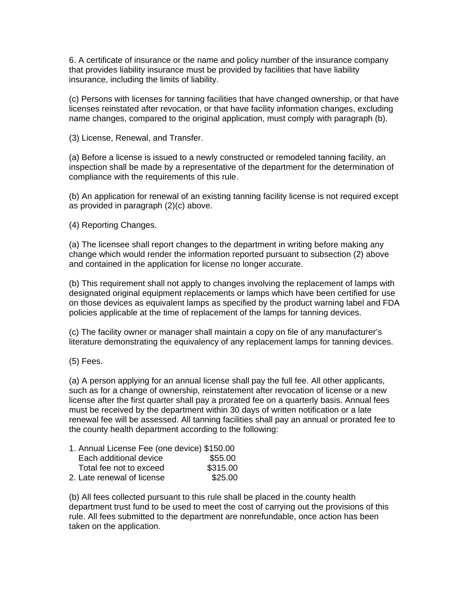6. A certificate of insurance or the name and policy number of the insurance company that provides liability insurance must be provided by facilities that have liability insurance, including the limits of liability.

(c) Persons with licenses for tanning facilities that have changed ownership, or that have licenses reinstated after revocation, or that have facility information changes, excluding name changes, compared to the original application, must comply with paragraph (b).

(3) License, Renewal, and Transfer.

(a) Before a license is issued to a newly constructed or remodeled tanning facility, an inspection shall be made by a representative of the department for the determination of compliance with the requirements of this rule.

(b) An application for renewal of an existing tanning facility license is not required except as provided in paragraph (2)(c) above.

(4) Reporting Changes.

(a) The licensee shall report changes to the department in writing before making any change which would render the information reported pursuant to subsection (2) above and contained in the application for license no longer accurate.

(b) This requirement shall not apply to changes involving the replacement of lamps with designated original equipment replacements or lamps which have been certified for use on those devices as equivalent lamps as specified by the product warning label and FDA policies applicable at the time of replacement of the lamps for tanning devices.

(c) The facility owner or manager shall maintain a copy on file of any manufacturer's literature demonstrating the equivalency of any replacement lamps for tanning devices.

(5) Fees.

(a) A person applying for an annual license shall pay the full fee. All other applicants, such as for a change of ownership, reinstatement after revocation of license or a new license after the first quarter shall pay a prorated fee on a quarterly basis. Annual fees must be received by the department within 30 days of written notification or a late renewal fee will be assessed. All tanning facilities shall pay an annual or prorated fee to the county health department according to the following:

| 1. Annual License Fee (one device) \$150.00 |          |
|---------------------------------------------|----------|
| Each additional device                      | \$55.00  |
| Total fee not to exceed                     | \$315.00 |
| 2. Late renewal of license                  | \$25.00  |

(b) All fees collected pursuant to this rule shall be placed in the county health department trust fund to be used to meet the cost of carrying out the provisions of this rule. All fees submitted to the department are nonrefundable, once action has been taken on the application.